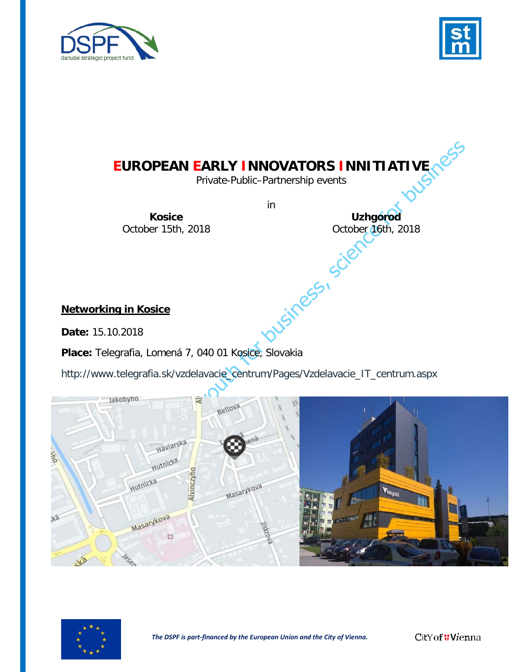



# **EUROPEAN EARLY INNOVATORS INNITIATIVE**

Private-Public–Partnership events

**Kosice Uzhgorod**

in

October 15th, 2018<br>
October 16th, 2018<br>
in Kosice<br>
2018

## **Networking in Kosice**

**Date:** 15.10.2018

**Place:** Telegrafia, Lomená 7, 040 01 Kosice, Slovakia

[http://www.telegrafia.sk/vzdelavacie\\_centrum/Pages/Vzdelavacie\\_IT\\_centrum.aspx](http://www.telegrafia.sk/vzdelavacie_centrum/Pages/Vzdelavacie_IT_centrum.aspx)



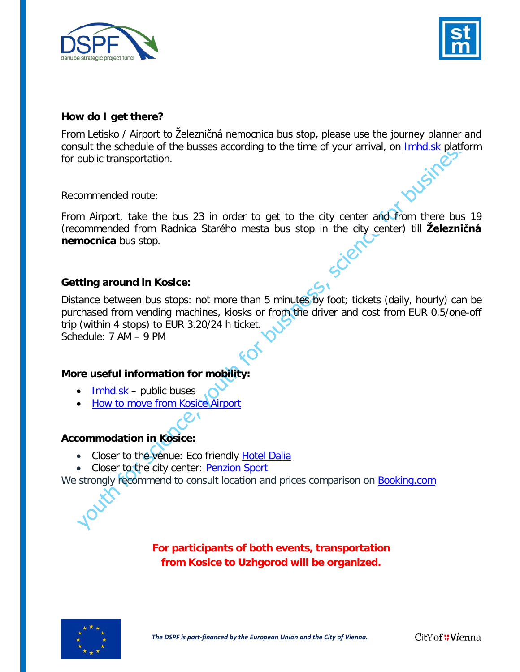



### **How do I get there?**

From Letisko / Airport to Železničná nemocnica bus stop, please use the journey planner and consult the schedule of the busses according to the time of your arrival, on [Imhd.sk](http://imhd.sk/ke/journey-planner?z1k=510&z2k=1620&mnp=2&mxp=30&mxpe=&np=5&rch=1&nizkopodlazne=&bicykle=&dpre=true&dprt=true&dpra=true&dprv=&odpr=0&ns=10&datum=15.10.2018&cas=06.35) platform for public transportation.

Recommended route:

From Airport, take the bus 23 in order to get to the city center and from there bus 19 (recommended from Radnica Starého mesta bus stop in the city center) till **Železničná nemocnica** bus stop.

## **Getting around in Kosice:**

Distance between bus stops: not more than 5 minutes by foot; tickets (daily, hourly) can be purchased from vending machines, kiosks or from the driver and cost from EUR 0.5/one-off trip (within 4 stops) to EUR 3.20/24 h ticket. Schedule: 7 AM – 9 PM

### **More useful information for mobility:**

- $\bullet$  [Imhd.sk](http://imhd.sk/ke/routes-lines) public buses
- [How to move from Kosice Airport](https://www.airportkosice.sk/en/passengers/public-transport)

## **Accommodation in Kosice:**

- Closer to the venue: Eco friendly [Hotel Dalia](http://www.hoteldalia.sk/en/)
- Closer to the city center: [Penzion Sport](http://www.penzionsport.sk/en/home/)

We strongly recommend to consult location and prices comparison on [Booking.com](https://www.booking.com/index.en-gb.html?aid=376393&label=bookings-name-d2AakcaZh5VCmomr9TOSVAS267754451741%3Apl%3Ata%3Ap1%3Ap2%3Aac%3Aap1t1%3Aneg%3Afi%3Atiaud-294889292853%3Akwd-65526620%3Alp1011795%3Ali%3Adec%3Adm&sid=82e50c33bf9040a3648eb794dfe04ad4&lang=en-gb&sb_price_type=total&soz=1&lang_click=top;cdl=ro;lang_changed=1)

**For participants of both events, transportation from Kosice to Uzhgorod will be organized.**

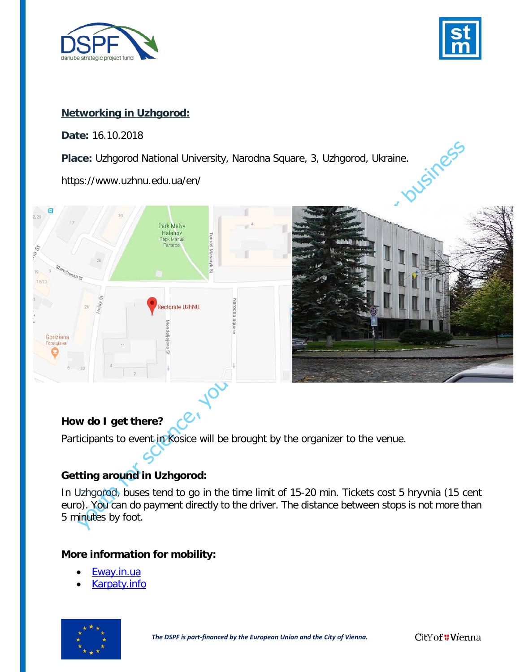



### **Networking in Uzhgorod:**

**Date:** 16.10.2018

**Place:** Uzhgorod National University, Narodna Square, 3, Uzhgorod, Ukraine.

https://www.uzhnu.edu.ua/en/



## **How do I get there?**

Participants to event in Kosice will be brought by the organizer to the venue.

## **Getting around in Uzhgorod:**

In Uzhgorod, buses tend to go in the time limit of 15-20 min. Tickets cost 5 hryvnia (15 cent euro). You can do payment directly to the driver. The distance between stops is not more than 5 minutes by foot.

### **More information for mobility:**

- [Eway.in.ua](https://www.eway.in.ua/en/cities/uzhhorod/routes)
- [Karpaty.info](https://www.karpaty.info/en/uk/zk/ug/uzhgorod/transport/)